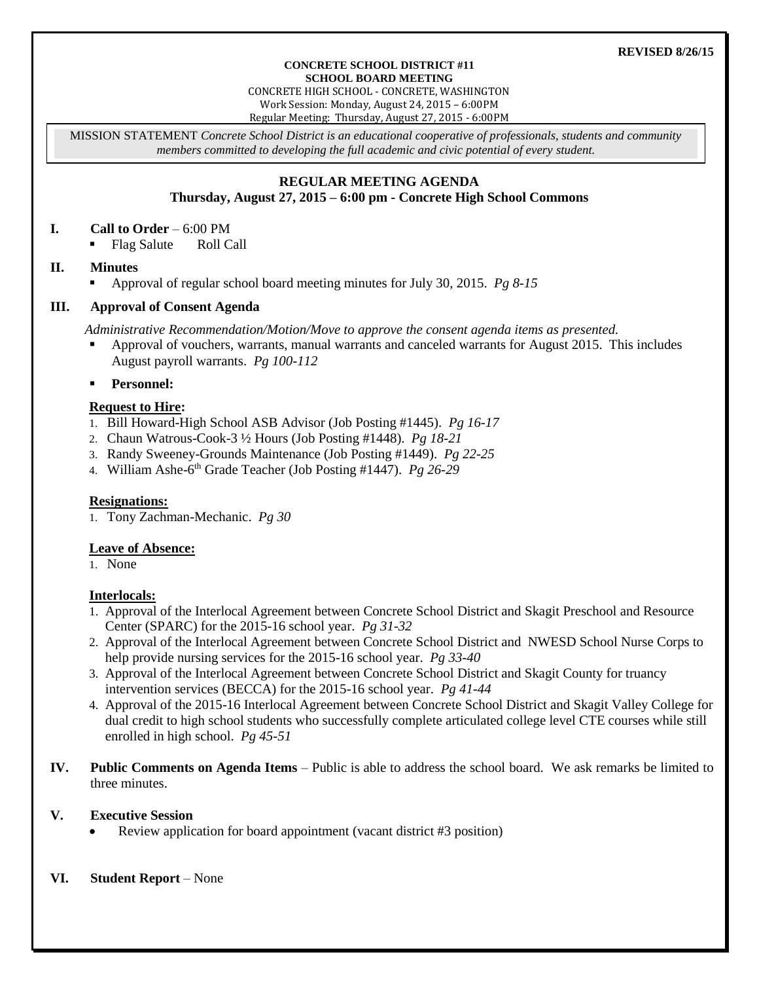#### **REVISED 8/26/15**

#### **CONCRETE SCHOOL DISTRICT #11 SCHOOL BOARD MEETING**

CONCRETE HIGH SCHOOL - CONCRETE, WASHINGTON Work Session: Monday, August 24, 2015 – 6:00PM

Regular Meeting: Thursday, August 27, 2015 - 6:00PM

MISSION STATEMENT *Concrete School District is an educational cooperative of professionals, students and community members committed to developing the full academic and civic potential of every student.*

# **REGULAR MEETING AGENDA**

## **Thursday, August 27, 2015 – 6:00 pm - Concrete High School Commons**

### **I. Call to Order** – 6:00 PM

• Flag Salute Roll Call

### **II. Minutes**

Approval of regular school board meeting minutes for July 30, 2015. *Pg 8-15*

### **III. Approval of Consent Agenda**

*Administrative Recommendation/Motion/Move to approve the consent agenda items as presented.*

- Approval of vouchers, warrants, manual warrants and canceled warrants for August 2015. This includes August payroll warrants. *Pg 100-112*
- **Personnel:**

### **Request to Hire:**

- 1. Bill Howard-High School ASB Advisor (Job Posting #1445). *Pg 16-17*
- 2. Chaun Watrous-Cook-3 ½ Hours (Job Posting #1448). *Pg 18-21*
- 3. Randy Sweeney-Grounds Maintenance (Job Posting #1449). *Pg 22-25*
- 4. William Ashe-6 th Grade Teacher (Job Posting #1447). *Pg 26-29*

### **Resignations:**

1. Tony Zachman-Mechanic. *Pg 30*

### **Leave of Absence:**

1. None

### **Interlocals:**

- 1. Approval of the Interlocal Agreement between Concrete School District and Skagit Preschool and Resource Center (SPARC) for the 2015-16 school year. *Pg 31-32*
- 2. Approval of the Interlocal Agreement between Concrete School District and NWESD School Nurse Corps to help provide nursing services for the 2015-16 school year. *Pg 33-40*
- 3. Approval of the Interlocal Agreement between Concrete School District and Skagit County for truancy intervention services (BECCA) for the 2015-16 school year. *Pg 41-44*
- 4. Approval of the 2015-16 Interlocal Agreement between Concrete School District and Skagit Valley College for dual credit to high school students who successfully complete articulated college level CTE courses while still enrolled in high school. *Pg 45-51*
- **IV. Public Comments on Agenda Items** Public is able to address the school board. We ask remarks be limited to three minutes.

### **V. Executive Session**

Review application for board appointment (vacant district #3 position)

### **VI. Student Report** – None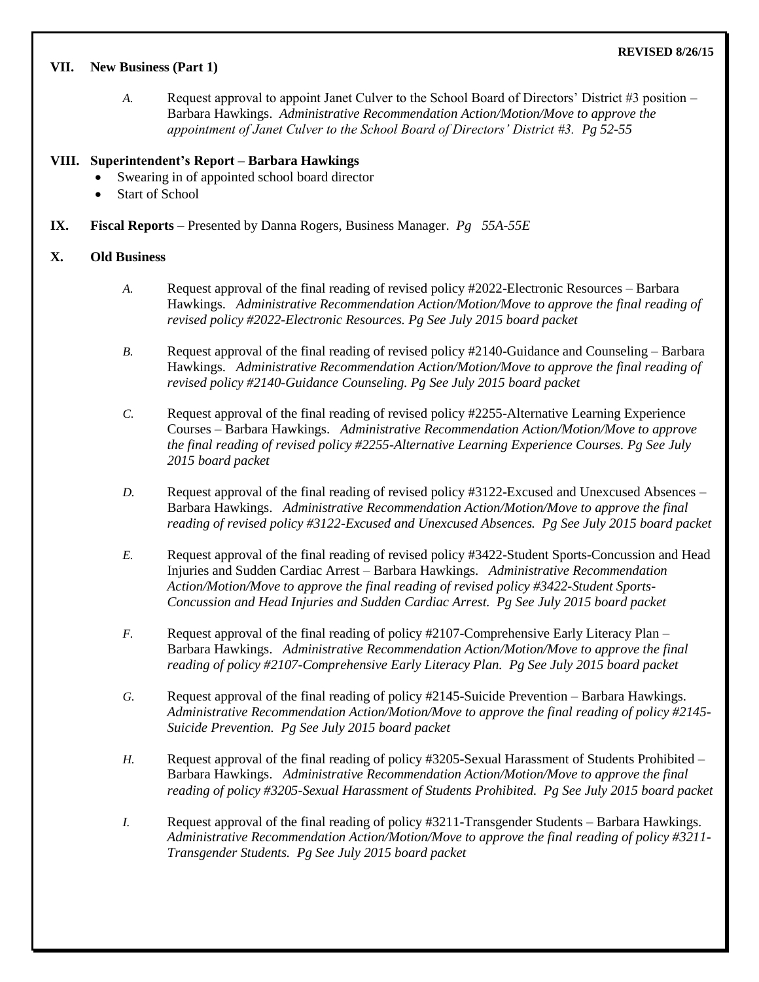## **VII. New Business (Part 1)**

*A.* Request approval to appoint Janet Culver to the School Board of Directors' District #3 position – Barbara Hawkings. *Administrative Recommendation Action/Motion/Move to approve the appointment of Janet Culver to the School Board of Directors' District #3. Pg 52-55*

# **VIII. Superintendent's Report – Barbara Hawkings**

- Swearing in of appointed school board director
- Start of School
- **IX. Fiscal Reports –** Presented by Danna Rogers, Business Manager. *Pg 55A-55E*

# **X. Old Business**

- *A.* Request approval of the final reading of revised policy #2022-Electronic Resources Barbara Hawkings. *Administrative Recommendation Action/Motion/Move to approve the final reading of revised policy #2022-Electronic Resources. Pg See July 2015 board packet*
- *B.* Request approval of the final reading of revised policy #2140-Guidance and Counseling Barbara Hawkings. *Administrative Recommendation Action/Motion/Move to approve the final reading of revised policy #2140-Guidance Counseling. Pg See July 2015 board packet*
- *C.* Request approval of the final reading of revised policy #2255-Alternative Learning Experience Courses – Barbara Hawkings. *Administrative Recommendation Action/Motion/Move to approve the final reading of revised policy #2255-Alternative Learning Experience Courses. Pg See July 2015 board packet*
- *D.* Request approval of the final reading of revised policy #3122-Excused and Unexcused Absences Barbara Hawkings. *Administrative Recommendation Action/Motion/Move to approve the final reading of revised policy #3122-Excused and Unexcused Absences. Pg See July 2015 board packet*
- *E.* Request approval of the final reading of revised policy #3422-Student Sports-Concussion and Head Injuries and Sudden Cardiac Arrest – Barbara Hawkings. *Administrative Recommendation Action/Motion/Move to approve the final reading of revised policy #3422-Student Sports-Concussion and Head Injuries and Sudden Cardiac Arrest. Pg See July 2015 board packet*
- *F.* Request approval of the final reading of policy #2107-Comprehensive Early Literacy Plan Barbara Hawkings. *Administrative Recommendation Action/Motion/Move to approve the final reading of policy #2107-Comprehensive Early Literacy Plan. Pg See July 2015 board packet*
- *G.* Request approval of the final reading of policy #2145-Suicide Prevention Barbara Hawkings. *Administrative Recommendation Action/Motion/Move to approve the final reading of policy #2145- Suicide Prevention. Pg See July 2015 board packet*
- *H.* Request approval of the final reading of policy #3205-Sexual Harassment of Students Prohibited Barbara Hawkings. *Administrative Recommendation Action/Motion/Move to approve the final reading of policy #3205-Sexual Harassment of Students Prohibited. Pg See July 2015 board packet*
- *I.* Request approval of the final reading of policy #3211-Transgender Students Barbara Hawkings. *Administrative Recommendation Action/Motion/Move to approve the final reading of policy #3211- Transgender Students. Pg See July 2015 board packet*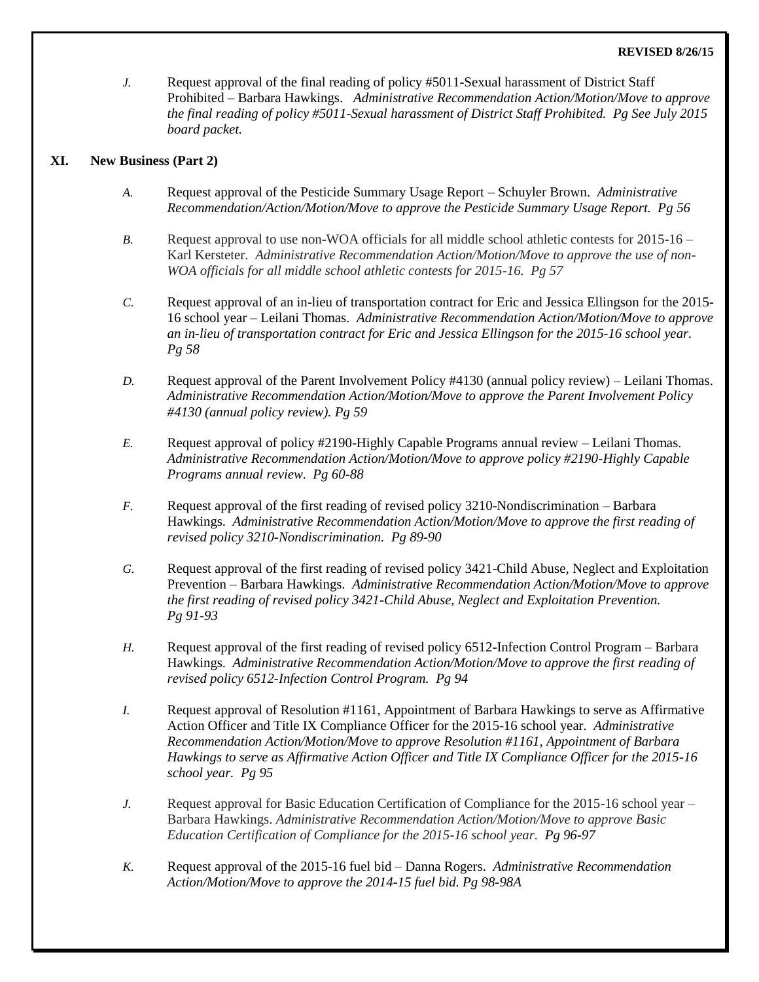#### **REVISED 8/26/15**

*J.* Request approval of the final reading of policy #5011-Sexual harassment of District Staff Prohibited – Barbara Hawkings. *Administrative Recommendation Action/Motion/Move to approve the final reading of policy #5011-Sexual harassment of District Staff Prohibited. Pg See July 2015 board packet.* 

### **XI. New Business (Part 2)**

- *A.* Request approval of the Pesticide Summary Usage Report Schuyler Brown. *Administrative Recommendation/Action/Motion/Move to approve the Pesticide Summary Usage Report. Pg 56*
- *B.* Request approval to use non-WOA officials for all middle school athletic contests for 2015-16 Karl Kersteter. *Administrative Recommendation Action/Motion/Move to approve the use of non-WOA officials for all middle school athletic contests for 2015-16. Pg 57*
- *C.* Request approval of an in-lieu of transportation contract for Eric and Jessica Ellingson for the 2015- 16 school year – Leilani Thomas. *Administrative Recommendation Action/Motion/Move to approve an in-lieu of transportation contract for Eric and Jessica Ellingson for the 2015-16 school year. Pg 58*
- *D.* Request approval of the Parent Involvement Policy #4130 (annual policy review) Leilani Thomas. *Administrative Recommendation Action/Motion/Move to approve the Parent Involvement Policy #4130 (annual policy review). Pg 59*
- *E.* Request approval of policy #2190-Highly Capable Programs annual review Leilani Thomas. *Administrative Recommendation Action/Motion/Move to approve policy #2190-Highly Capable Programs annual review. Pg 60-88*
- *F.* Request approval of the first reading of revised policy 3210-Nondiscrimination Barbara Hawkings. *Administrative Recommendation Action/Motion/Move to approve the first reading of revised policy 3210-Nondiscrimination. Pg 89-90*
- *G.* Request approval of the first reading of revised policy 3421-Child Abuse, Neglect and Exploitation Prevention – Barbara Hawkings. *Administrative Recommendation Action/Motion/Move to approve the first reading of revised policy 3421-Child Abuse, Neglect and Exploitation Prevention. Pg 91-93*
- *H.* Request approval of the first reading of revised policy 6512-Infection Control Program Barbara Hawkings. *Administrative Recommendation Action/Motion/Move to approve the first reading of revised policy 6512-Infection Control Program. Pg 94*
- *I.* Request approval of Resolution #1161, Appointment of Barbara Hawkings to serve as Affirmative Action Officer and Title IX Compliance Officer for the 2015-16 school year. *Administrative Recommendation Action/Motion/Move to approve Resolution #1161, Appointment of Barbara Hawkings to serve as Affirmative Action Officer and Title IX Compliance Officer for the 2015-16 school year. Pg 95*
- *J.* Request approval for Basic Education Certification of Compliance for the 2015-16 school year Barbara Hawkings. *Administrative Recommendation Action/Motion/Move to approve Basic Education Certification of Compliance for the 2015-16 school year. Pg 96-97*
- *K.* Request approval of the 2015-16 fuel bid Danna Rogers. *Administrative Recommendation Action/Motion/Move to approve the 2014-15 fuel bid. Pg 98-98A*